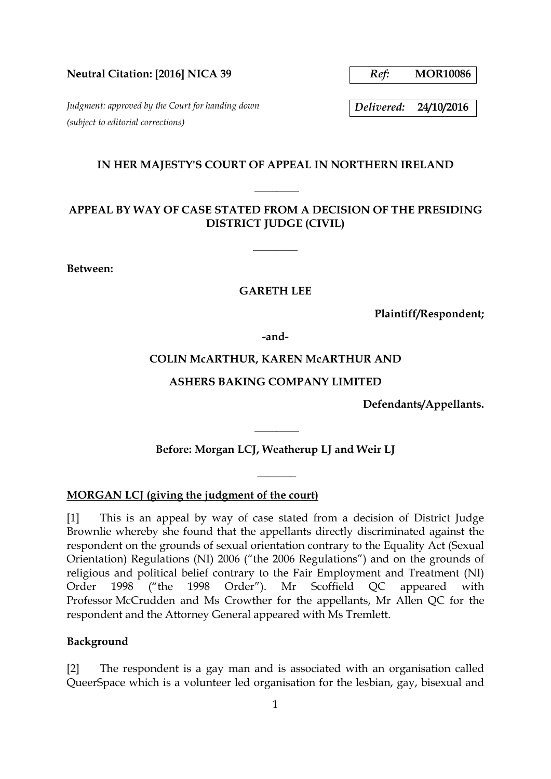#### 1

# **Neutral Citation: [2016] NICA 39** *Ref:* **MOR10086**

*Judgment: approved by the Court for handing down Delivered:* **24/10/2016** *(subject to editorial corrections)*

## **IN HER MAJESTY'S COURT OF APPEAL IN NORTHERN IRELAND**

**\_\_\_\_\_\_\_\_**

# **APPEAL BY WAY OF CASE STATED FROM A DECISION OF THE PRESIDING DISTRICT JUDGE (CIVIL)**

**\_\_\_\_\_\_\_\_**

**Between:** 

### **GARETH LEE**

**Plaintiff/Respondent;**

#### **-and-**

## **COLIN McARTHUR, KAREN McARTHUR AND**

#### **ASHERS BAKING COMPANY LIMITED**

**Defendants/Appellants.**

## **Before: Morgan LCJ, Weatherup LJ and Weir LJ**

**\_\_\_\_\_\_\_**

**\_\_\_\_\_\_\_\_**

### **MORGAN LCJ (giving the judgment of the court)**

[1] This is an appeal by way of case stated from a decision of District Judge Brownlie whereby she found that the appellants directly discriminated against the respondent on the grounds of sexual orientation contrary to the Equality Act (Sexual Orientation) Regulations (NI) 2006 ("the 2006 Regulations") and on the grounds of religious and political belief contrary to the Fair Employment and Treatment (NI) Order 1998 ("the 1998 Order"). Mr Scoffield QC appeared with Professor McCrudden and Ms Crowther for the appellants, Mr Allen QC for the respondent and the Attorney General appeared with Ms Tremlett.

### **Background**

[2] The respondent is a gay man and is associated with an organisation called QueerSpace which is a volunteer led organisation for the lesbian, gay, bisexual and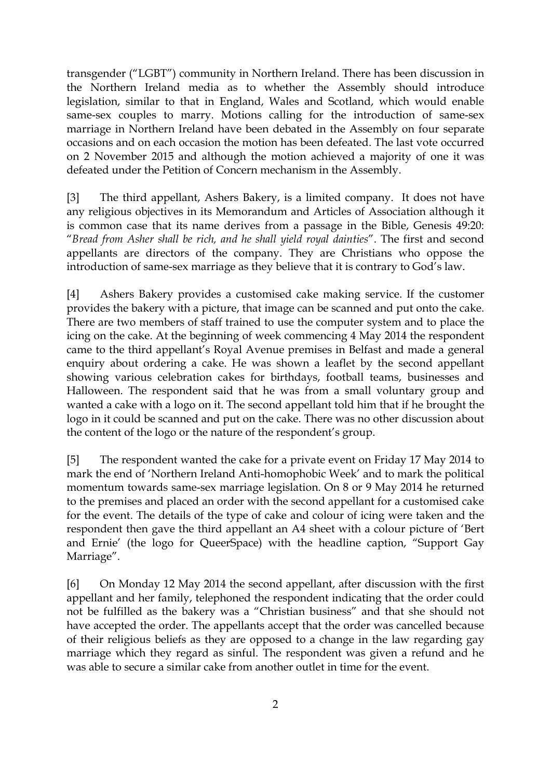transgender ("LGBT") community in Northern Ireland. There has been discussion in the Northern Ireland media as to whether the Assembly should introduce legislation, similar to that in England, Wales and Scotland, which would enable same-sex couples to marry. Motions calling for the introduction of same-sex marriage in Northern Ireland have been debated in the Assembly on four separate occasions and on each occasion the motion has been defeated. The last vote occurred on 2 November 2015 and although the motion achieved a majority of one it was defeated under the Petition of Concern mechanism in the Assembly.

[3] The third appellant, Ashers Bakery, is a limited company. It does not have any religious objectives in its Memorandum and Articles of Association although it is common case that its name derives from a passage in the Bible, Genesis 49:20: "*Bread from Asher shall be rich, and he shall yield royal dainties*". The first and second appellants are directors of the company. They are Christians who oppose the introduction of same-sex marriage as they believe that it is contrary to God's law.

[4] Ashers Bakery provides a customised cake making service. If the customer provides the bakery with a picture, that image can be scanned and put onto the cake. There are two members of staff trained to use the computer system and to place the icing on the cake. At the beginning of week commencing 4 May 2014 the respondent came to the third appellant's Royal Avenue premises in Belfast and made a general enquiry about ordering a cake. He was shown a leaflet by the second appellant showing various celebration cakes for birthdays, football teams, businesses and Halloween. The respondent said that he was from a small voluntary group and wanted a cake with a logo on it. The second appellant told him that if he brought the logo in it could be scanned and put on the cake. There was no other discussion about the content of the logo or the nature of the respondent's group.

[5] The respondent wanted the cake for a private event on Friday 17 May 2014 to mark the end of 'Northern Ireland Anti-homophobic Week' and to mark the political momentum towards same-sex marriage legislation. On 8 or 9 May 2014 he returned to the premises and placed an order with the second appellant for a customised cake for the event. The details of the type of cake and colour of icing were taken and the respondent then gave the third appellant an A4 sheet with a colour picture of 'Bert and Ernie' (the logo for QueerSpace) with the headline caption, "Support Gay Marriage".

[6] On Monday 12 May 2014 the second appellant, after discussion with the first appellant and her family, telephoned the respondent indicating that the order could not be fulfilled as the bakery was a "Christian business" and that she should not have accepted the order. The appellants accept that the order was cancelled because of their religious beliefs as they are opposed to a change in the law regarding gay marriage which they regard as sinful. The respondent was given a refund and he was able to secure a similar cake from another outlet in time for the event.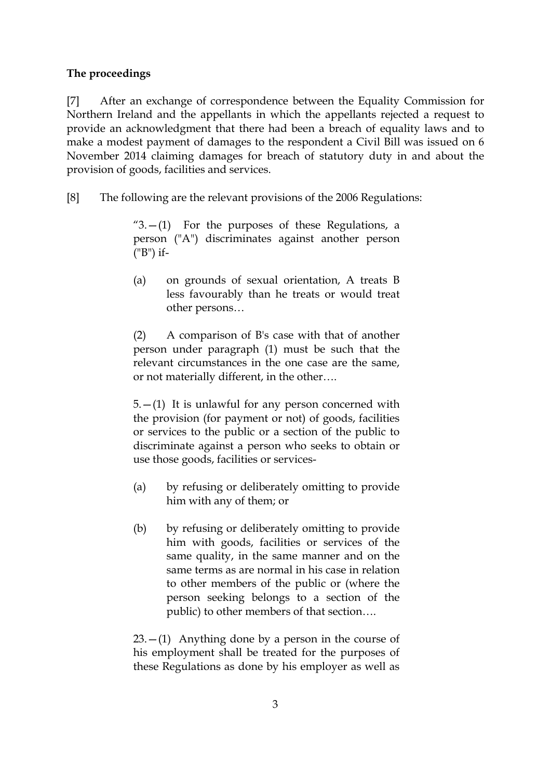# **The proceedings**

[7] After an exchange of correspondence between the Equality Commission for Northern Ireland and the appellants in which the appellants rejected a request to provide an acknowledgment that there had been a breach of equality laws and to make a modest payment of damages to the respondent a Civil Bill was issued on 6 November 2014 claiming damages for breach of statutory duty in and about the provision of goods, facilities and services.

[8] The following are the relevant provisions of the 2006 Regulations:

" $3-(1)$  For the purposes of these Regulations, a person ("A") discriminates against another person ("B") if-

(a) on grounds of sexual orientation, A treats B less favourably than he treats or would treat other persons…

(2) A comparison of B's case with that of another person under paragraph (1) must be such that the relevant circumstances in the one case are the same, or not materially different, in the other….

 $5. - (1)$  It is unlawful for any person concerned with the provision (for payment or not) of goods, facilities or services to the public or a section of the public to discriminate against a person who seeks to obtain or use those goods, facilities or services-

- (a) by refusing or deliberately omitting to provide him with any of them; or
- (b) by refusing or deliberately omitting to provide him with goods, facilities or services of the same quality, in the same manner and on the same terms as are normal in his case in relation to other members of the public or (where the person seeking belongs to a section of the public) to other members of that section….

 $23 - (1)$  Anything done by a person in the course of his employment shall be treated for the purposes of these Regulations as done by his employer as well as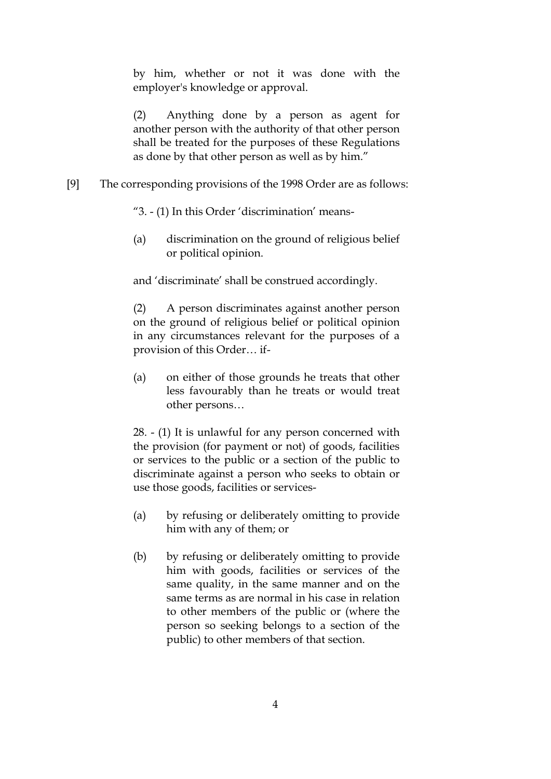by him, whether or not it was done with the employer's knowledge or approval.

(2) Anything done by a person as agent for another person with the authority of that other person shall be treated for the purposes of these Regulations as done by that other person as well as by him."

[9] The corresponding provisions of the 1998 Order are as follows:

"3. - (1) In this Order 'discrimination' means-

(a) discrimination on the ground of religious belief or political opinion.

and 'discriminate' shall be construed accordingly.

(2) A person discriminates against another person on the ground of religious belief or political opinion in any circumstances relevant for the purposes of a provision of this Order… if-

(a) on either of those grounds he treats that other less favourably than he treats or would treat other persons…

28. - (1) It is unlawful for any person concerned with the provision (for payment or not) of goods, facilities or services to the public or a section of the public to discriminate against a person who seeks to obtain or use those goods, facilities or services-

- (a) by refusing or deliberately omitting to provide him with any of them; or
- (b) by refusing or deliberately omitting to provide him with goods, facilities or services of the same quality, in the same manner and on the same terms as are normal in his case in relation to other members of the public or (where the person so seeking belongs to a section of the public) to other members of that section.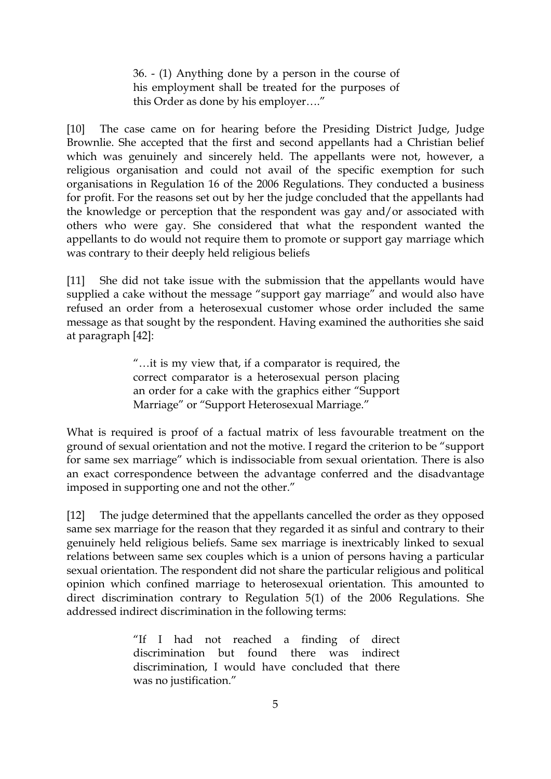36. - (1) Anything done by a person in the course of his employment shall be treated for the purposes of this Order as done by his employer…."

[10] The case came on for hearing before the Presiding District Judge, Judge Brownlie. She accepted that the first and second appellants had a Christian belief which was genuinely and sincerely held. The appellants were not, however, a religious organisation and could not avail of the specific exemption for such organisations in Regulation 16 of the 2006 Regulations. They conducted a business for profit. For the reasons set out by her the judge concluded that the appellants had the knowledge or perception that the respondent was gay and/or associated with others who were gay. She considered that what the respondent wanted the appellants to do would not require them to promote or support gay marriage which was contrary to their deeply held religious beliefs

[11] She did not take issue with the submission that the appellants would have supplied a cake without the message "support gay marriage" and would also have refused an order from a heterosexual customer whose order included the same message as that sought by the respondent. Having examined the authorities she said at paragraph [42]:

> "…it is my view that, if a comparator is required, the correct comparator is a heterosexual person placing an order for a cake with the graphics either "Support Marriage" or "Support Heterosexual Marriage."

What is required is proof of a factual matrix of less favourable treatment on the ground of sexual orientation and not the motive. I regard the criterion to be "support for same sex marriage" which is indissociable from sexual orientation. There is also an exact correspondence between the advantage conferred and the disadvantage imposed in supporting one and not the other."

[12] The judge determined that the appellants cancelled the order as they opposed same sex marriage for the reason that they regarded it as sinful and contrary to their genuinely held religious beliefs. Same sex marriage is inextricably linked to sexual relations between same sex couples which is a union of persons having a particular sexual orientation. The respondent did not share the particular religious and political opinion which confined marriage to heterosexual orientation. This amounted to direct discrimination contrary to Regulation 5(1) of the 2006 Regulations. She addressed indirect discrimination in the following terms:

> "If I had not reached a finding of direct discrimination but found there was indirect discrimination, I would have concluded that there was no justification."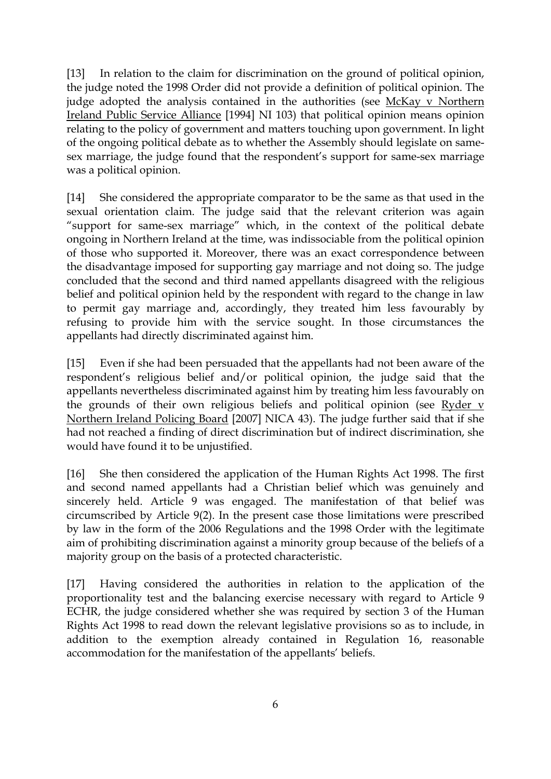[13] In relation to the claim for discrimination on the ground of political opinion, the judge noted the 1998 Order did not provide a definition of political opinion. The judge adopted the analysis contained in the authorities (see McKay v Northern Ireland Public Service Alliance [1994] NI 103) that political opinion means opinion relating to the policy of government and matters touching upon government. In light of the ongoing political debate as to whether the Assembly should legislate on samesex marriage, the judge found that the respondent's support for same-sex marriage was a political opinion.

[14] She considered the appropriate comparator to be the same as that used in the sexual orientation claim. The judge said that the relevant criterion was again "support for same-sex marriage" which, in the context of the political debate ongoing in Northern Ireland at the time, was indissociable from the political opinion of those who supported it. Moreover, there was an exact correspondence between the disadvantage imposed for supporting gay marriage and not doing so. The judge concluded that the second and third named appellants disagreed with the religious belief and political opinion held by the respondent with regard to the change in law to permit gay marriage and, accordingly, they treated him less favourably by refusing to provide him with the service sought. In those circumstances the appellants had directly discriminated against him.

[15] Even if she had been persuaded that the appellants had not been aware of the respondent's religious belief and/or political opinion, the judge said that the appellants nevertheless discriminated against him by treating him less favourably on the grounds of their own religious beliefs and political opinion (see Ryder v Northern Ireland Policing Board [2007] NICA 43). The judge further said that if she had not reached a finding of direct discrimination but of indirect discrimination, she would have found it to be unjustified.

[16] She then considered the application of the Human Rights Act 1998. The first and second named appellants had a Christian belief which was genuinely and sincerely held. Article 9 was engaged. The manifestation of that belief was circumscribed by Article 9(2). In the present case those limitations were prescribed by law in the form of the 2006 Regulations and the 1998 Order with the legitimate aim of prohibiting discrimination against a minority group because of the beliefs of a majority group on the basis of a protected characteristic.

[17] Having considered the authorities in relation to the application of the proportionality test and the balancing exercise necessary with regard to Article 9 ECHR, the judge considered whether she was required by section 3 of the Human Rights Act 1998 to read down the relevant legislative provisions so as to include, in addition to the exemption already contained in Regulation 16, reasonable accommodation for the manifestation of the appellants' beliefs.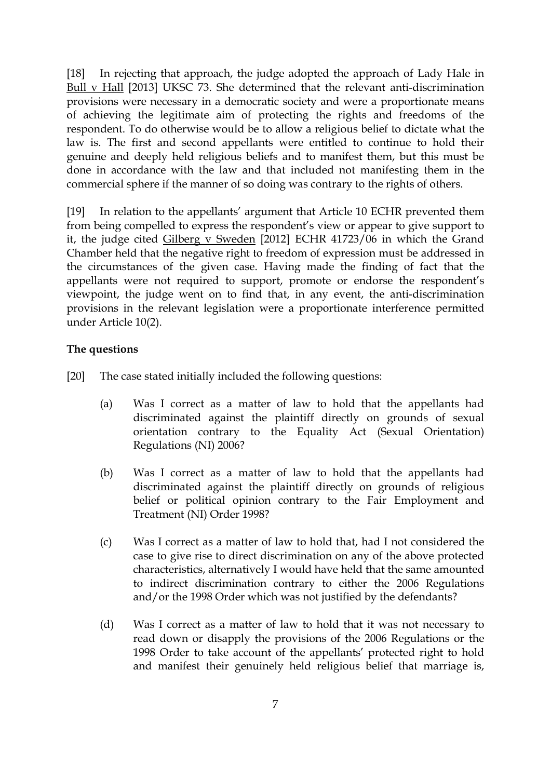[18] In rejecting that approach, the judge adopted the approach of Lady Hale in Bull v Hall [2013] UKSC 73. She determined that the relevant anti-discrimination provisions were necessary in a democratic society and were a proportionate means of achieving the legitimate aim of protecting the rights and freedoms of the respondent. To do otherwise would be to allow a religious belief to dictate what the law is. The first and second appellants were entitled to continue to hold their genuine and deeply held religious beliefs and to manifest them, but this must be done in accordance with the law and that included not manifesting them in the commercial sphere if the manner of so doing was contrary to the rights of others.

[19] In relation to the appellants' argument that Article 10 ECHR prevented them from being compelled to express the respondent's view or appear to give support to it, the judge cited Gilberg v Sweden [2012] ECHR 41723/06 in which the Grand Chamber held that the negative right to freedom of expression must be addressed in the circumstances of the given case. Having made the finding of fact that the appellants were not required to support, promote or endorse the respondent's viewpoint, the judge went on to find that, in any event, the anti-discrimination provisions in the relevant legislation were a proportionate interference permitted under Article 10(2).

# **The questions**

- [20] The case stated initially included the following questions:
	- (a) Was I correct as a matter of law to hold that the appellants had discriminated against the plaintiff directly on grounds of sexual orientation contrary to the Equality Act (Sexual Orientation) Regulations (NI) 2006?
	- (b) Was I correct as a matter of law to hold that the appellants had discriminated against the plaintiff directly on grounds of religious belief or political opinion contrary to the Fair Employment and Treatment (NI) Order 1998?
	- (c) Was I correct as a matter of law to hold that, had I not considered the case to give rise to direct discrimination on any of the above protected characteristics, alternatively I would have held that the same amounted to indirect discrimination contrary to either the 2006 Regulations and/or the 1998 Order which was not justified by the defendants?
	- (d) Was I correct as a matter of law to hold that it was not necessary to read down or disapply the provisions of the 2006 Regulations or the 1998 Order to take account of the appellants' protected right to hold and manifest their genuinely held religious belief that marriage is,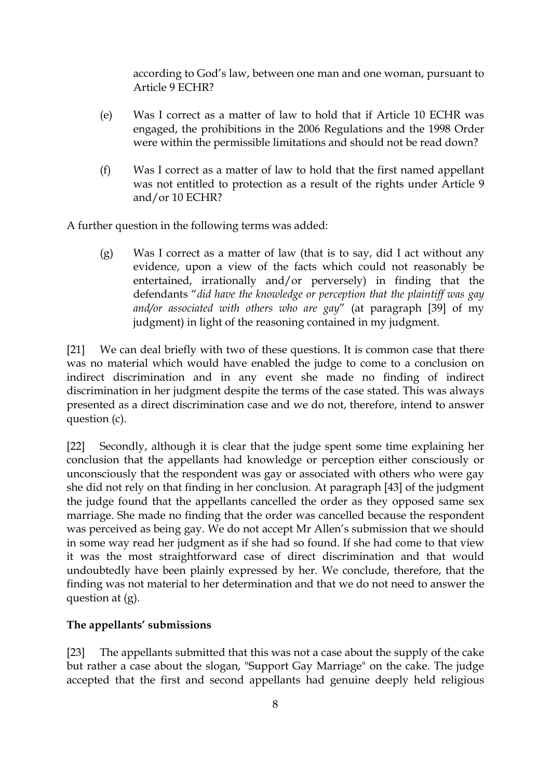according to God's law, between one man and one woman, pursuant to Article 9 ECHR?

- (e) Was I correct as a matter of law to hold that if Article 10 ECHR was engaged, the prohibitions in the 2006 Regulations and the 1998 Order were within the permissible limitations and should not be read down?
- (f) Was I correct as a matter of law to hold that the first named appellant was not entitled to protection as a result of the rights under Article 9 and/or 10 ECHR?

A further question in the following terms was added:

(g) Was I correct as a matter of law (that is to say, did I act without any evidence, upon a view of the facts which could not reasonably be entertained, irrationally and/or perversely) in finding that the defendants "*did have the knowledge or perception that the plaintiff was gay and/or associated with others who are gay*" (at paragraph [39] of my judgment) in light of the reasoning contained in my judgment.

[21] We can deal briefly with two of these questions. It is common case that there was no material which would have enabled the judge to come to a conclusion on indirect discrimination and in any event she made no finding of indirect discrimination in her judgment despite the terms of the case stated. This was always presented as a direct discrimination case and we do not, therefore, intend to answer question (c).

[22] Secondly, although it is clear that the judge spent some time explaining her conclusion that the appellants had knowledge or perception either consciously or unconsciously that the respondent was gay or associated with others who were gay she did not rely on that finding in her conclusion. At paragraph [43] of the judgment the judge found that the appellants cancelled the order as they opposed same sex marriage. She made no finding that the order was cancelled because the respondent was perceived as being gay. We do not accept Mr Allen's submission that we should in some way read her judgment as if she had so found. If she had come to that view it was the most straightforward case of direct discrimination and that would undoubtedly have been plainly expressed by her. We conclude, therefore, that the finding was not material to her determination and that we do not need to answer the question at (g).

# **The appellants' submissions**

[23] The appellants submitted that this was not a case about the supply of the cake but rather a case about the slogan, "Support Gay Marriage" on the cake. The judge accepted that the first and second appellants had genuine deeply held religious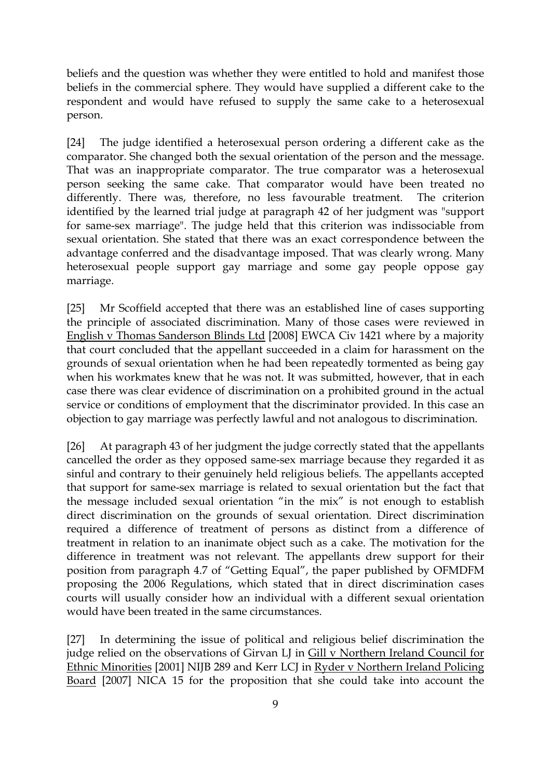beliefs and the question was whether they were entitled to hold and manifest those beliefs in the commercial sphere. They would have supplied a different cake to the respondent and would have refused to supply the same cake to a heterosexual person.

[24] The judge identified a heterosexual person ordering a different cake as the comparator. She changed both the sexual orientation of the person and the message. That was an inappropriate comparator. The true comparator was a heterosexual person seeking the same cake. That comparator would have been treated no differently. There was, therefore, no less favourable treatment. The criterion identified by the learned trial judge at paragraph 42 of her judgment was "support for same-sex marriage". The judge held that this criterion was indissociable from sexual orientation. She stated that there was an exact correspondence between the advantage conferred and the disadvantage imposed. That was clearly wrong. Many heterosexual people support gay marriage and some gay people oppose gay marriage.

[25] Mr Scoffield accepted that there was an established line of cases supporting the principle of associated discrimination. Many of those cases were reviewed in English v Thomas Sanderson Blinds Ltd [2008] EWCA Civ 1421 where by a majority that court concluded that the appellant succeeded in a claim for harassment on the grounds of sexual orientation when he had been repeatedly tormented as being gay when his workmates knew that he was not. It was submitted, however, that in each case there was clear evidence of discrimination on a prohibited ground in the actual service or conditions of employment that the discriminator provided. In this case an objection to gay marriage was perfectly lawful and not analogous to discrimination.

[26] At paragraph 43 of her judgment the judge correctly stated that the appellants cancelled the order as they opposed same-sex marriage because they regarded it as sinful and contrary to their genuinely held religious beliefs. The appellants accepted that support for same-sex marriage is related to sexual orientation but the fact that the message included sexual orientation "in the mix" is not enough to establish direct discrimination on the grounds of sexual orientation. Direct discrimination required a difference of treatment of persons as distinct from a difference of treatment in relation to an inanimate object such as a cake. The motivation for the difference in treatment was not relevant. The appellants drew support for their position from paragraph 4.7 of "Getting Equal", the paper published by OFMDFM proposing the 2006 Regulations, which stated that in direct discrimination cases courts will usually consider how an individual with a different sexual orientation would have been treated in the same circumstances.

[27] In determining the issue of political and religious belief discrimination the judge relied on the observations of Girvan LJ in Gill v Northern Ireland Council for Ethnic Minorities [2001] NIJB 289 and Kerr LCJ in Ryder v Northern Ireland Policing Board [2007] NICA 15 for the proposition that she could take into account the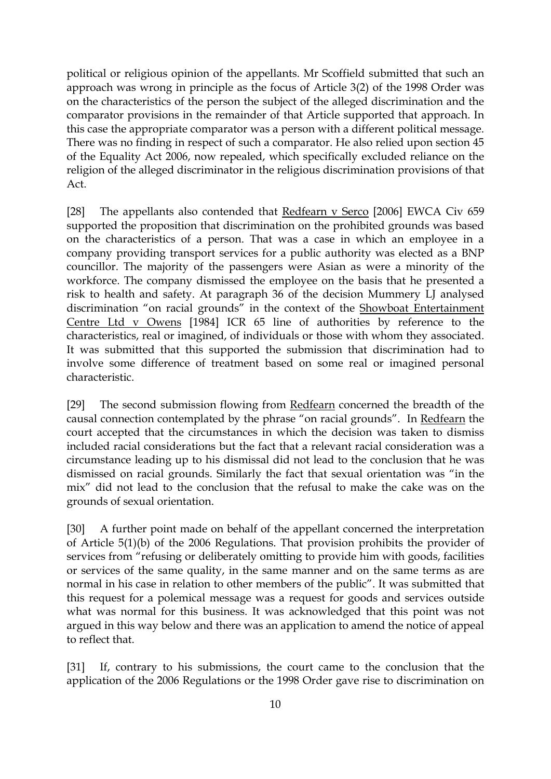political or religious opinion of the appellants. Mr Scoffield submitted that such an approach was wrong in principle as the focus of Article 3(2) of the 1998 Order was on the characteristics of the person the subject of the alleged discrimination and the comparator provisions in the remainder of that Article supported that approach. In this case the appropriate comparator was a person with a different political message. There was no finding in respect of such a comparator. He also relied upon section 45 of the Equality Act 2006, now repealed, which specifically excluded reliance on the religion of the alleged discriminator in the religious discrimination provisions of that Act.

[28] The appellants also contended that Redfearn v Serco [2006] EWCA Civ 659 supported the proposition that discrimination on the prohibited grounds was based on the characteristics of a person. That was a case in which an employee in a company providing transport services for a public authority was elected as a BNP councillor. The majority of the passengers were Asian as were a minority of the workforce. The company dismissed the employee on the basis that he presented a risk to health and safety. At paragraph 36 of the decision Mummery LJ analysed discrimination "on racial grounds" in the context of the Showboat Entertainment Centre Ltd v Owens [1984] ICR 65 line of authorities by reference to the characteristics, real or imagined, of individuals or those with whom they associated. It was submitted that this supported the submission that discrimination had to involve some difference of treatment based on some real or imagined personal characteristic.

[29] The second submission flowing from Redfearn concerned the breadth of the causal connection contemplated by the phrase "on racial grounds". In Redfearn the court accepted that the circumstances in which the decision was taken to dismiss included racial considerations but the fact that a relevant racial consideration was a circumstance leading up to his dismissal did not lead to the conclusion that he was dismissed on racial grounds. Similarly the fact that sexual orientation was "in the mix" did not lead to the conclusion that the refusal to make the cake was on the grounds of sexual orientation.

[30] A further point made on behalf of the appellant concerned the interpretation of Article 5(1)(b) of the 2006 Regulations. That provision prohibits the provider of services from "refusing or deliberately omitting to provide him with goods, facilities or services of the same quality, in the same manner and on the same terms as are normal in his case in relation to other members of the public". It was submitted that this request for a polemical message was a request for goods and services outside what was normal for this business. It was acknowledged that this point was not argued in this way below and there was an application to amend the notice of appeal to reflect that.

[31] If, contrary to his submissions, the court came to the conclusion that the application of the 2006 Regulations or the 1998 Order gave rise to discrimination on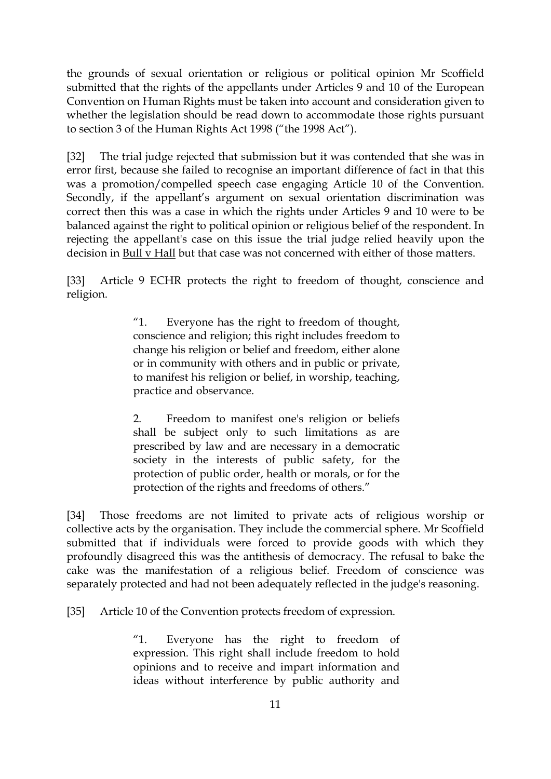the grounds of sexual orientation or religious or political opinion Mr Scoffield submitted that the rights of the appellants under Articles 9 and 10 of the European Convention on Human Rights must be taken into account and consideration given to whether the legislation should be read down to accommodate those rights pursuant to section 3 of the Human Rights Act 1998 ("the 1998 Act").

[32] The trial judge rejected that submission but it was contended that she was in error first, because she failed to recognise an important difference of fact in that this was a promotion/compelled speech case engaging Article 10 of the Convention. Secondly, if the appellant's argument on sexual orientation discrimination was correct then this was a case in which the rights under Articles 9 and 10 were to be balanced against the right to political opinion or religious belief of the respondent. In rejecting the appellant's case on this issue the trial judge relied heavily upon the decision in Bull v Hall but that case was not concerned with either of those matters.

[33] Article 9 ECHR protects the right to freedom of thought, conscience and religion.

> "1. Everyone has the right to freedom of thought, conscience and religion; this right includes freedom to change his religion or belief and freedom, either alone or in community with others and in public or private, to manifest his religion or belief, in worship, teaching, practice and observance.

> 2. Freedom to manifest one's religion or beliefs shall be subject only to such limitations as are prescribed by law and are necessary in a democratic society in the interests of public safety, for the protection of public order, health or morals, or for the protection of the rights and freedoms of others."

[34] Those freedoms are not limited to private acts of religious worship or collective acts by the organisation. They include the commercial sphere. Mr Scoffield submitted that if individuals were forced to provide goods with which they profoundly disagreed this was the antithesis of democracy. The refusal to bake the cake was the manifestation of a religious belief. Freedom of conscience was separately protected and had not been adequately reflected in the judge's reasoning.

[35] Article 10 of the Convention protects freedom of expression.

"1. Everyone has the right to freedom of expression. This right shall include freedom to hold opinions and to receive and impart information and ideas without interference by public authority and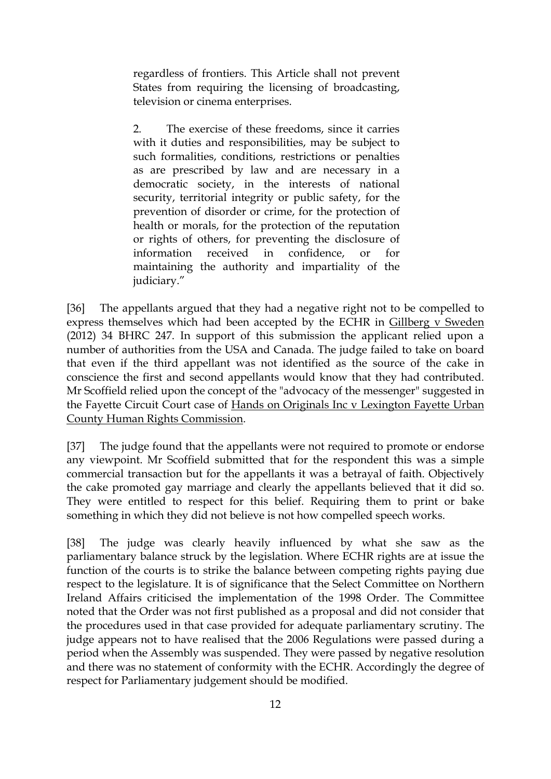regardless of frontiers. This Article shall not prevent States from requiring the licensing of broadcasting, television or cinema enterprises.

2. The exercise of these freedoms, since it carries with it duties and responsibilities, may be subject to such formalities, conditions, restrictions or penalties as are prescribed by law and are necessary in a democratic society, in the interests of national security, territorial integrity or public safety, for the prevention of disorder or crime, for the protection of health or morals, for the protection of the reputation or rights of others, for preventing the disclosure of information received in confidence, or for maintaining the authority and impartiality of the judiciary."

[36] The appellants argued that they had a negative right not to be compelled to express themselves which had been accepted by the ECHR in Gillberg v Sweden (2012) 34 BHRC 247. In support of this submission the applicant relied upon a number of authorities from the USA and Canada. The judge failed to take on board that even if the third appellant was not identified as the source of the cake in conscience the first and second appellants would know that they had contributed. Mr Scoffield relied upon the concept of the "advocacy of the messenger" suggested in the Fayette Circuit Court case of Hands on Originals Inc v Lexington Fayette Urban County Human Rights Commission.

[37] The judge found that the appellants were not required to promote or endorse any viewpoint. Mr Scoffield submitted that for the respondent this was a simple commercial transaction but for the appellants it was a betrayal of faith. Objectively the cake promoted gay marriage and clearly the appellants believed that it did so. They were entitled to respect for this belief. Requiring them to print or bake something in which they did not believe is not how compelled speech works.

[38] The judge was clearly heavily influenced by what she saw as the parliamentary balance struck by the legislation. Where ECHR rights are at issue the function of the courts is to strike the balance between competing rights paying due respect to the legislature. It is of significance that the Select Committee on Northern Ireland Affairs criticised the implementation of the 1998 Order. The Committee noted that the Order was not first published as a proposal and did not consider that the procedures used in that case provided for adequate parliamentary scrutiny. The judge appears not to have realised that the 2006 Regulations were passed during a period when the Assembly was suspended. They were passed by negative resolution and there was no statement of conformity with the ECHR. Accordingly the degree of respect for Parliamentary judgement should be modified.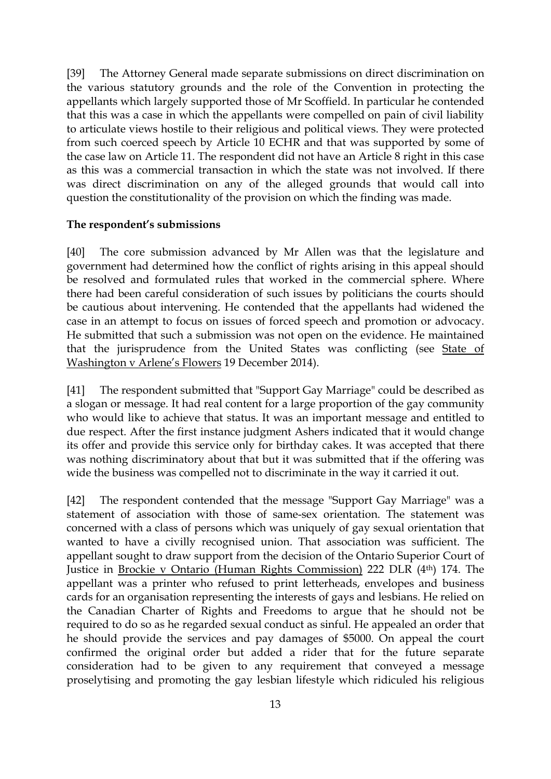[39] The Attorney General made separate submissions on direct discrimination on the various statutory grounds and the role of the Convention in protecting the appellants which largely supported those of Mr Scoffield. In particular he contended that this was a case in which the appellants were compelled on pain of civil liability to articulate views hostile to their religious and political views. They were protected from such coerced speech by Article 10 ECHR and that was supported by some of the case law on Article 11. The respondent did not have an Article 8 right in this case as this was a commercial transaction in which the state was not involved. If there was direct discrimination on any of the alleged grounds that would call into question the constitutionality of the provision on which the finding was made.

#### **The respondent's submissions**

[40] The core submission advanced by Mr Allen was that the legislature and government had determined how the conflict of rights arising in this appeal should be resolved and formulated rules that worked in the commercial sphere. Where there had been careful consideration of such issues by politicians the courts should be cautious about intervening. He contended that the appellants had widened the case in an attempt to focus on issues of forced speech and promotion or advocacy. He submitted that such a submission was not open on the evidence. He maintained that the jurisprudence from the United States was conflicting (see State of Washington v Arlene's Flowers 19 December 2014).

[41] The respondent submitted that "Support Gay Marriage" could be described as a slogan or message. It had real content for a large proportion of the gay community who would like to achieve that status. It was an important message and entitled to due respect. After the first instance judgment Ashers indicated that it would change its offer and provide this service only for birthday cakes. It was accepted that there was nothing discriminatory about that but it was submitted that if the offering was wide the business was compelled not to discriminate in the way it carried it out.

[42] The respondent contended that the message "Support Gay Marriage" was a statement of association with those of same-sex orientation. The statement was concerned with a class of persons which was uniquely of gay sexual orientation that wanted to have a civilly recognised union. That association was sufficient. The appellant sought to draw support from the decision of the Ontario Superior Court of Justice in Brockie v Ontario (Human Rights Commission) 222 DLR (4th) 174. The appellant was a printer who refused to print letterheads, envelopes and business cards for an organisation representing the interests of gays and lesbians. He relied on the Canadian Charter of Rights and Freedoms to argue that he should not be required to do so as he regarded sexual conduct as sinful. He appealed an order that he should provide the services and pay damages of \$5000. On appeal the court confirmed the original order but added a rider that for the future separate consideration had to be given to any requirement that conveyed a message proselytising and promoting the gay lesbian lifestyle which ridiculed his religious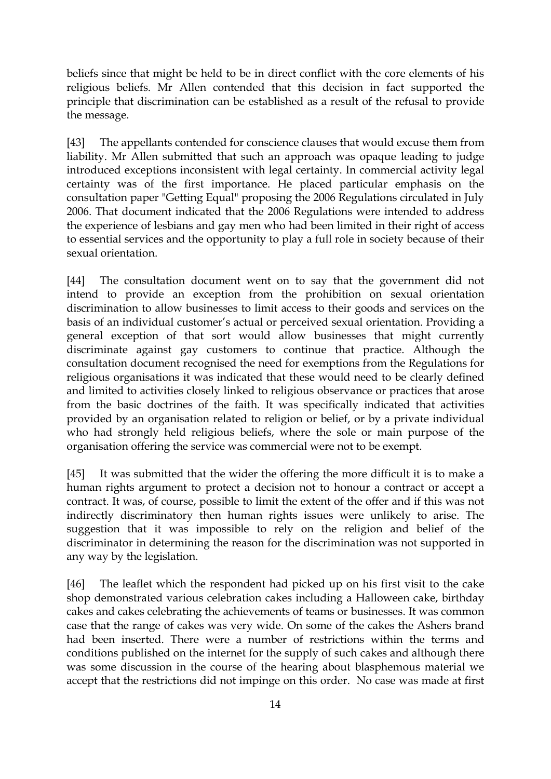beliefs since that might be held to be in direct conflict with the core elements of his religious beliefs. Mr Allen contended that this decision in fact supported the principle that discrimination can be established as a result of the refusal to provide the message.

[43] The appellants contended for conscience clauses that would excuse them from liability. Mr Allen submitted that such an approach was opaque leading to judge introduced exceptions inconsistent with legal certainty. In commercial activity legal certainty was of the first importance. He placed particular emphasis on the consultation paper "Getting Equal" proposing the 2006 Regulations circulated in July 2006. That document indicated that the 2006 Regulations were intended to address the experience of lesbians and gay men who had been limited in their right of access to essential services and the opportunity to play a full role in society because of their sexual orientation.

[44] The consultation document went on to say that the government did not intend to provide an exception from the prohibition on sexual orientation discrimination to allow businesses to limit access to their goods and services on the basis of an individual customer's actual or perceived sexual orientation. Providing a general exception of that sort would allow businesses that might currently discriminate against gay customers to continue that practice. Although the consultation document recognised the need for exemptions from the Regulations for religious organisations it was indicated that these would need to be clearly defined and limited to activities closely linked to religious observance or practices that arose from the basic doctrines of the faith. It was specifically indicated that activities provided by an organisation related to religion or belief, or by a private individual who had strongly held religious beliefs, where the sole or main purpose of the organisation offering the service was commercial were not to be exempt.

[45] It was submitted that the wider the offering the more difficult it is to make a human rights argument to protect a decision not to honour a contract or accept a contract. It was, of course, possible to limit the extent of the offer and if this was not indirectly discriminatory then human rights issues were unlikely to arise. The suggestion that it was impossible to rely on the religion and belief of the discriminator in determining the reason for the discrimination was not supported in any way by the legislation.

[46] The leaflet which the respondent had picked up on his first visit to the cake shop demonstrated various celebration cakes including a Halloween cake, birthday cakes and cakes celebrating the achievements of teams or businesses. It was common case that the range of cakes was very wide. On some of the cakes the Ashers brand had been inserted. There were a number of restrictions within the terms and conditions published on the internet for the supply of such cakes and although there was some discussion in the course of the hearing about blasphemous material we accept that the restrictions did not impinge on this order. No case was made at first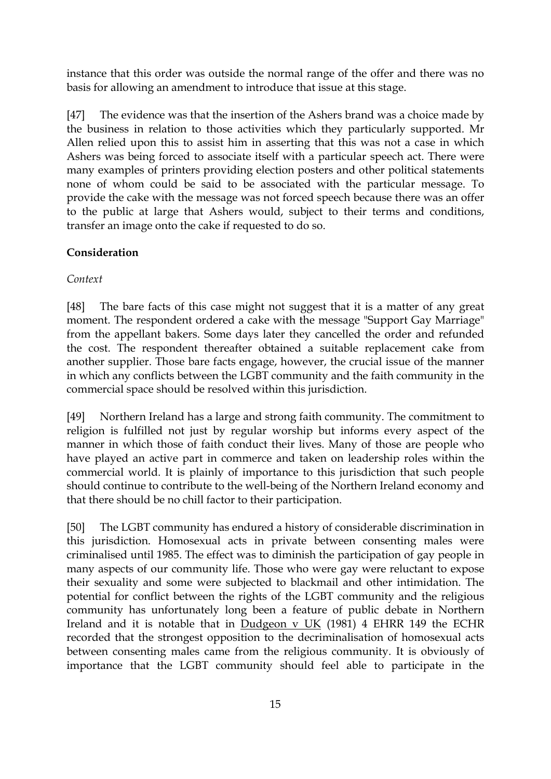instance that this order was outside the normal range of the offer and there was no basis for allowing an amendment to introduce that issue at this stage.

[47] The evidence was that the insertion of the Ashers brand was a choice made by the business in relation to those activities which they particularly supported. Mr Allen relied upon this to assist him in asserting that this was not a case in which Ashers was being forced to associate itself with a particular speech act. There were many examples of printers providing election posters and other political statements none of whom could be said to be associated with the particular message. To provide the cake with the message was not forced speech because there was an offer to the public at large that Ashers would, subject to their terms and conditions, transfer an image onto the cake if requested to do so.

# **Consideration**

# *Context*

[48] The bare facts of this case might not suggest that it is a matter of any great moment. The respondent ordered a cake with the message "Support Gay Marriage" from the appellant bakers. Some days later they cancelled the order and refunded the cost. The respondent thereafter obtained a suitable replacement cake from another supplier. Those bare facts engage, however, the crucial issue of the manner in which any conflicts between the LGBT community and the faith community in the commercial space should be resolved within this jurisdiction.

[49] Northern Ireland has a large and strong faith community. The commitment to religion is fulfilled not just by regular worship but informs every aspect of the manner in which those of faith conduct their lives. Many of those are people who have played an active part in commerce and taken on leadership roles within the commercial world. It is plainly of importance to this jurisdiction that such people should continue to contribute to the well-being of the Northern Ireland economy and that there should be no chill factor to their participation.

[50] The LGBT community has endured a history of considerable discrimination in this jurisdiction. Homosexual acts in private between consenting males were criminalised until 1985. The effect was to diminish the participation of gay people in many aspects of our community life. Those who were gay were reluctant to expose their sexuality and some were subjected to blackmail and other intimidation. The potential for conflict between the rights of the LGBT community and the religious community has unfortunately long been a feature of public debate in Northern Ireland and it is notable that in Dudgeon v UK (1981) 4 EHRR 149 the ECHR recorded that the strongest opposition to the decriminalisation of homosexual acts between consenting males came from the religious community. It is obviously of importance that the LGBT community should feel able to participate in the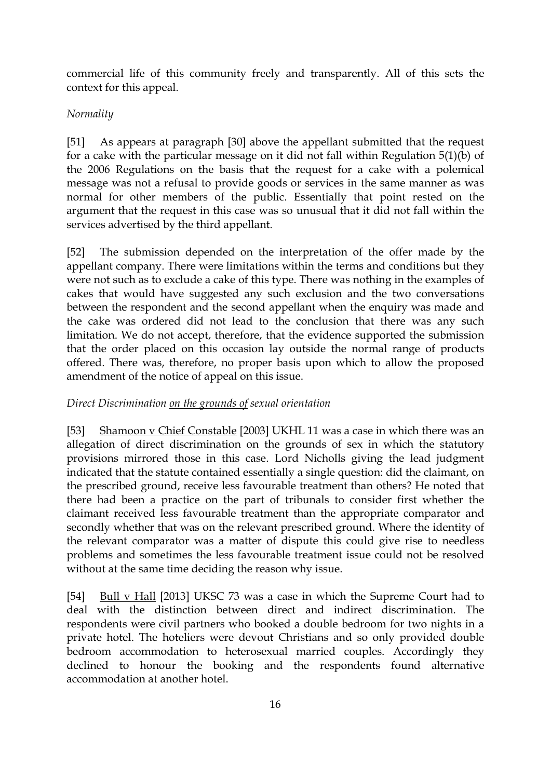commercial life of this community freely and transparently. All of this sets the context for this appeal.

# *Normality*

[51] As appears at paragraph [30] above the appellant submitted that the request for a cake with the particular message on it did not fall within Regulation 5(1)(b) of the 2006 Regulations on the basis that the request for a cake with a polemical message was not a refusal to provide goods or services in the same manner as was normal for other members of the public. Essentially that point rested on the argument that the request in this case was so unusual that it did not fall within the services advertised by the third appellant.

[52] The submission depended on the interpretation of the offer made by the appellant company. There were limitations within the terms and conditions but they were not such as to exclude a cake of this type. There was nothing in the examples of cakes that would have suggested any such exclusion and the two conversations between the respondent and the second appellant when the enquiry was made and the cake was ordered did not lead to the conclusion that there was any such limitation. We do not accept, therefore, that the evidence supported the submission that the order placed on this occasion lay outside the normal range of products offered. There was, therefore, no proper basis upon which to allow the proposed amendment of the notice of appeal on this issue.

# *Direct Discrimination on the grounds of sexual orientation*

[53] Shamoon v Chief Constable [2003] UKHL 11 was a case in which there was an allegation of direct discrimination on the grounds of sex in which the statutory provisions mirrored those in this case. Lord Nicholls giving the lead judgment indicated that the statute contained essentially a single question: did the claimant, on the prescribed ground, receive less favourable treatment than others? He noted that there had been a practice on the part of tribunals to consider first whether the claimant received less favourable treatment than the appropriate comparator and secondly whether that was on the relevant prescribed ground. Where the identity of the relevant comparator was a matter of dispute this could give rise to needless problems and sometimes the less favourable treatment issue could not be resolved without at the same time deciding the reason why issue.

[54] Bull v Hall [2013] UKSC 73 was a case in which the Supreme Court had to deal with the distinction between direct and indirect discrimination. The respondents were civil partners who booked a double bedroom for two nights in a private hotel. The hoteliers were devout Christians and so only provided double bedroom accommodation to heterosexual married couples. Accordingly they declined to honour the booking and the respondents found alternative accommodation at another hotel.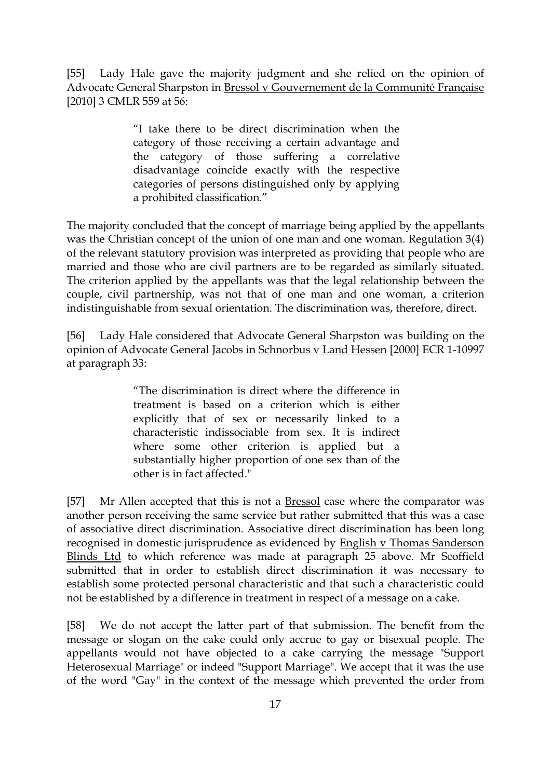[55] Lady Hale gave the majority judgment and she relied on the opinion of Advocate General Sharpston in Bressol v Gouvernement de la Communité Française [2010] 3 CMLR 559 at 56:

> "I take there to be direct discrimination when the category of those receiving a certain advantage and the category of those suffering a correlative disadvantage coincide exactly with the respective categories of persons distinguished only by applying a prohibited classification."

The majority concluded that the concept of marriage being applied by the appellants was the Christian concept of the union of one man and one woman. Regulation 3(4) of the relevant statutory provision was interpreted as providing that people who are married and those who are civil partners are to be regarded as similarly situated. The criterion applied by the appellants was that the legal relationship between the couple, civil partnership, was not that of one man and one woman, a criterion indistinguishable from sexual orientation. The discrimination was, therefore, direct.

[56] Lady Hale considered that Advocate General Sharpston was building on the opinion of Advocate General Jacobs in Schnorbus v Land Hessen [2000] ECR 1-10997 at paragraph 33:

> "The discrimination is direct where the difference in treatment is based on a criterion which is either explicitly that of sex or necessarily linked to a characteristic indissociable from sex. It is indirect where some other criterion is applied but a substantially higher proportion of one sex than of the other is in fact affected."

[57] Mr Allen accepted that this is not a Bressol case where the comparator was another person receiving the same service but rather submitted that this was a case of associative direct discrimination. Associative direct discrimination has been long recognised in domestic jurisprudence as evidenced by English v Thomas Sanderson Blinds Ltd to which reference was made at paragraph 25 above. Mr Scoffield submitted that in order to establish direct discrimination it was necessary to establish some protected personal characteristic and that such a characteristic could not be established by a difference in treatment in respect of a message on a cake.

[58] We do not accept the latter part of that submission. The benefit from the message or slogan on the cake could only accrue to gay or bisexual people. The appellants would not have objected to a cake carrying the message "Support Heterosexual Marriage" or indeed "Support Marriage". We accept that it was the use of the word "Gay" in the context of the message which prevented the order from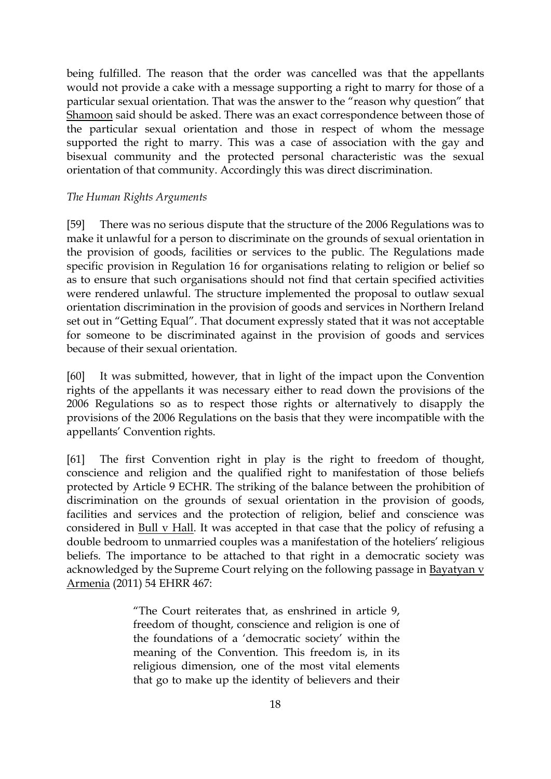being fulfilled. The reason that the order was cancelled was that the appellants would not provide a cake with a message supporting a right to marry for those of a particular sexual orientation. That was the answer to the "reason why question" that Shamoon said should be asked. There was an exact correspondence between those of the particular sexual orientation and those in respect of whom the message supported the right to marry. This was a case of association with the gay and bisexual community and the protected personal characteristic was the sexual orientation of that community. Accordingly this was direct discrimination.

## *The Human Rights Arguments*

[59] There was no serious dispute that the structure of the 2006 Regulations was to make it unlawful for a person to discriminate on the grounds of sexual orientation in the provision of goods, facilities or services to the public. The Regulations made specific provision in Regulation 16 for organisations relating to religion or belief so as to ensure that such organisations should not find that certain specified activities were rendered unlawful. The structure implemented the proposal to outlaw sexual orientation discrimination in the provision of goods and services in Northern Ireland set out in "Getting Equal". That document expressly stated that it was not acceptable for someone to be discriminated against in the provision of goods and services because of their sexual orientation.

[60] It was submitted, however, that in light of the impact upon the Convention rights of the appellants it was necessary either to read down the provisions of the 2006 Regulations so as to respect those rights or alternatively to disapply the provisions of the 2006 Regulations on the basis that they were incompatible with the appellants' Convention rights.

[61] The first Convention right in play is the right to freedom of thought, conscience and religion and the qualified right to manifestation of those beliefs protected by Article 9 ECHR. The striking of the balance between the prohibition of discrimination on the grounds of sexual orientation in the provision of goods, facilities and services and the protection of religion, belief and conscience was considered in Bull v Hall. It was accepted in that case that the policy of refusing a double bedroom to unmarried couples was a manifestation of the hoteliers' religious beliefs. The importance to be attached to that right in a democratic society was acknowledged by the Supreme Court relying on the following passage in Bayatyan v Armenia (2011) 54 EHRR 467:

> "The Court reiterates that, as enshrined in article 9, freedom of thought, conscience and religion is one of the foundations of a 'democratic society' within the meaning of the Convention. This freedom is, in its religious dimension, one of the most vital elements that go to make up the identity of believers and their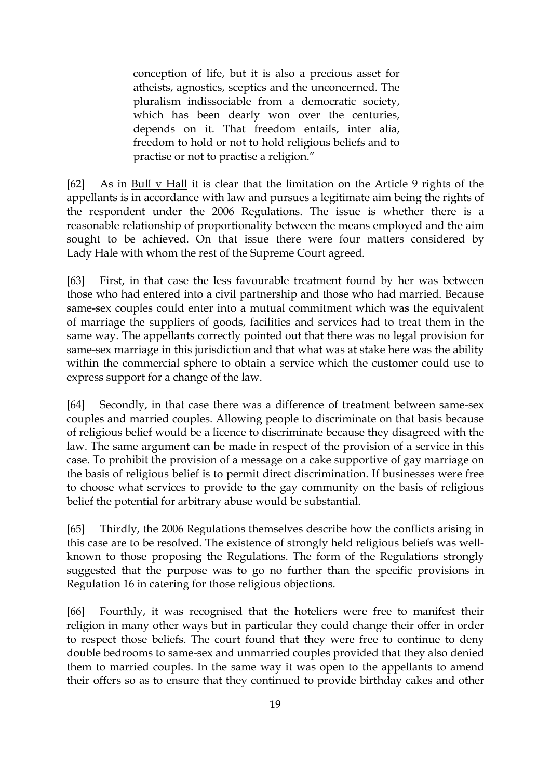conception of life, but it is also a precious asset for atheists, agnostics, sceptics and the unconcerned. The pluralism indissociable from a democratic society, which has been dearly won over the centuries, depends on it. That freedom entails, inter alia, freedom to hold or not to hold religious beliefs and to practise or not to practise a religion."

[62] As in Bull v Hall it is clear that the limitation on the Article 9 rights of the appellants is in accordance with law and pursues a legitimate aim being the rights of the respondent under the 2006 Regulations. The issue is whether there is a reasonable relationship of proportionality between the means employed and the aim sought to be achieved. On that issue there were four matters considered by Lady Hale with whom the rest of the Supreme Court agreed.

[63] First, in that case the less favourable treatment found by her was between those who had entered into a civil partnership and those who had married. Because same-sex couples could enter into a mutual commitment which was the equivalent of marriage the suppliers of goods, facilities and services had to treat them in the same way. The appellants correctly pointed out that there was no legal provision for same-sex marriage in this jurisdiction and that what was at stake here was the ability within the commercial sphere to obtain a service which the customer could use to express support for a change of the law.

[64] Secondly, in that case there was a difference of treatment between same-sex couples and married couples. Allowing people to discriminate on that basis because of religious belief would be a licence to discriminate because they disagreed with the law. The same argument can be made in respect of the provision of a service in this case. To prohibit the provision of a message on a cake supportive of gay marriage on the basis of religious belief is to permit direct discrimination. If businesses were free to choose what services to provide to the gay community on the basis of religious belief the potential for arbitrary abuse would be substantial.

[65] Thirdly, the 2006 Regulations themselves describe how the conflicts arising in this case are to be resolved. The existence of strongly held religious beliefs was wellknown to those proposing the Regulations. The form of the Regulations strongly suggested that the purpose was to go no further than the specific provisions in Regulation 16 in catering for those religious objections.

[66] Fourthly, it was recognised that the hoteliers were free to manifest their religion in many other ways but in particular they could change their offer in order to respect those beliefs. The court found that they were free to continue to deny double bedrooms to same-sex and unmarried couples provided that they also denied them to married couples. In the same way it was open to the appellants to amend their offers so as to ensure that they continued to provide birthday cakes and other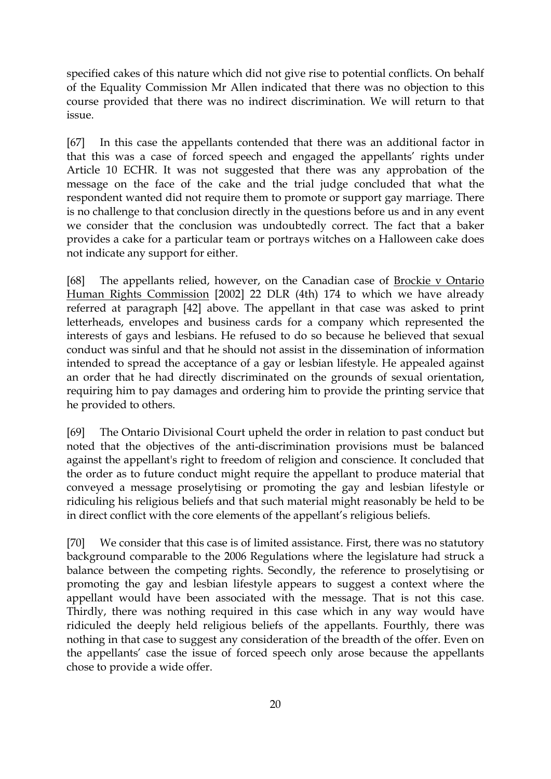specified cakes of this nature which did not give rise to potential conflicts. On behalf of the Equality Commission Mr Allen indicated that there was no objection to this course provided that there was no indirect discrimination. We will return to that issue.

[67] In this case the appellants contended that there was an additional factor in that this was a case of forced speech and engaged the appellants' rights under Article 10 ECHR. It was not suggested that there was any approbation of the message on the face of the cake and the trial judge concluded that what the respondent wanted did not require them to promote or support gay marriage. There is no challenge to that conclusion directly in the questions before us and in any event we consider that the conclusion was undoubtedly correct. The fact that a baker provides a cake for a particular team or portrays witches on a Halloween cake does not indicate any support for either.

[68] The appellants relied, however, on the Canadian case of Brockie v Ontario Human Rights Commission [2002] 22 DLR (4th) 174 to which we have already referred at paragraph [42] above. The appellant in that case was asked to print letterheads, envelopes and business cards for a company which represented the interests of gays and lesbians. He refused to do so because he believed that sexual conduct was sinful and that he should not assist in the dissemination of information intended to spread the acceptance of a gay or lesbian lifestyle. He appealed against an order that he had directly discriminated on the grounds of sexual orientation, requiring him to pay damages and ordering him to provide the printing service that he provided to others.

[69] The Ontario Divisional Court upheld the order in relation to past conduct but noted that the objectives of the anti-discrimination provisions must be balanced against the appellant's right to freedom of religion and conscience. It concluded that the order as to future conduct might require the appellant to produce material that conveyed a message proselytising or promoting the gay and lesbian lifestyle or ridiculing his religious beliefs and that such material might reasonably be held to be in direct conflict with the core elements of the appellant's religious beliefs.

[70] We consider that this case is of limited assistance. First, there was no statutory background comparable to the 2006 Regulations where the legislature had struck a balance between the competing rights. Secondly, the reference to proselytising or promoting the gay and lesbian lifestyle appears to suggest a context where the appellant would have been associated with the message. That is not this case. Thirdly, there was nothing required in this case which in any way would have ridiculed the deeply held religious beliefs of the appellants. Fourthly, there was nothing in that case to suggest any consideration of the breadth of the offer. Even on the appellants' case the issue of forced speech only arose because the appellants chose to provide a wide offer.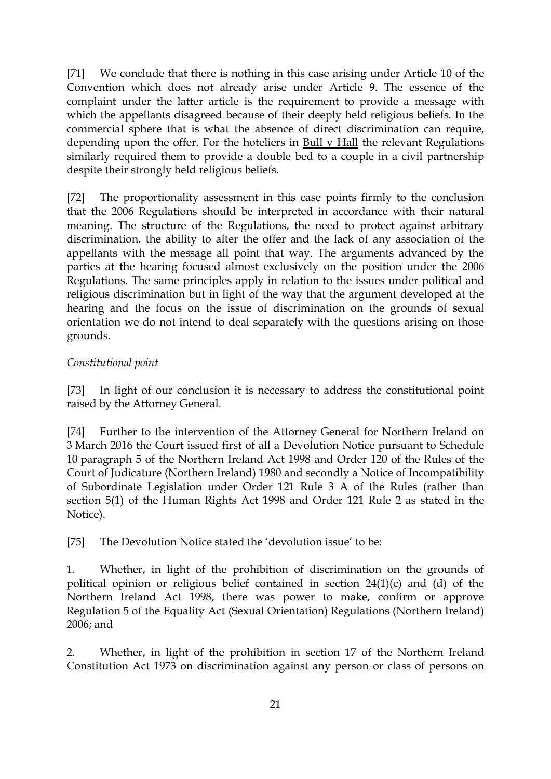[71] We conclude that there is nothing in this case arising under Article 10 of the Convention which does not already arise under Article 9. The essence of the complaint under the latter article is the requirement to provide a message with which the appellants disagreed because of their deeply held religious beliefs. In the commercial sphere that is what the absence of direct discrimination can require, depending upon the offer. For the hoteliers in Bull v Hall the relevant Regulations similarly required them to provide a double bed to a couple in a civil partnership despite their strongly held religious beliefs.

[72] The proportionality assessment in this case points firmly to the conclusion that the 2006 Regulations should be interpreted in accordance with their natural meaning. The structure of the Regulations, the need to protect against arbitrary discrimination, the ability to alter the offer and the lack of any association of the appellants with the message all point that way. The arguments advanced by the parties at the hearing focused almost exclusively on the position under the 2006 Regulations. The same principles apply in relation to the issues under political and religious discrimination but in light of the way that the argument developed at the hearing and the focus on the issue of discrimination on the grounds of sexual orientation we do not intend to deal separately with the questions arising on those grounds.

# *Constitutional point*

[73] In light of our conclusion it is necessary to address the constitutional point raised by the Attorney General.

[74] Further to the intervention of the Attorney General for Northern Ireland on 3 March 2016 the Court issued first of all a Devolution Notice pursuant to Schedule 10 paragraph 5 of the Northern Ireland Act 1998 and Order 120 of the Rules of the Court of Judicature (Northern Ireland) 1980 and secondly a Notice of Incompatibility of Subordinate Legislation under Order 121 Rule 3 A of the Rules (rather than section 5(1) of the Human Rights Act 1998 and Order 121 Rule 2 as stated in the Notice).

[75] The Devolution Notice stated the 'devolution issue' to be:

1. Whether, in light of the prohibition of discrimination on the grounds of political opinion or religious belief contained in section 24(1)(c) and (d) of the Northern Ireland Act 1998, there was power to make, confirm or approve Regulation 5 of the Equality Act (Sexual Orientation) Regulations (Northern Ireland) 2006; and

2. Whether, in light of the prohibition in section 17 of the Northern Ireland Constitution Act 1973 on discrimination against any person or class of persons on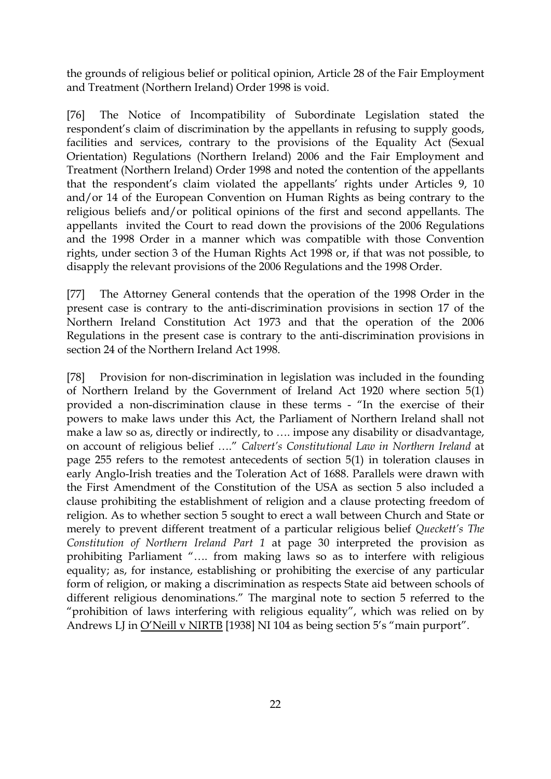the grounds of religious belief or political opinion, Article 28 of the Fair Employment and Treatment (Northern Ireland) Order 1998 is void.

[76] The Notice of Incompatibility of Subordinate Legislation stated the respondent's claim of discrimination by the appellants in refusing to supply goods, facilities and services, contrary to the provisions of the Equality Act (Sexual Orientation) Regulations (Northern Ireland) 2006 and the Fair Employment and Treatment (Northern Ireland) Order 1998 and noted the contention of the appellants that the respondent's claim violated the appellants' rights under Articles 9, 10 and/or 14 of the European Convention on Human Rights as being contrary to the religious beliefs and/or political opinions of the first and second appellants. The appellants invited the Court to read down the provisions of the 2006 Regulations and the 1998 Order in a manner which was compatible with those Convention rights, under section 3 of the Human Rights Act 1998 or, if that was not possible, to disapply the relevant provisions of the 2006 Regulations and the 1998 Order.

[77] The Attorney General contends that the operation of the 1998 Order in the present case is contrary to the anti-discrimination provisions in section 17 of the Northern Ireland Constitution Act 1973 and that the operation of the 2006 Regulations in the present case is contrary to the anti-discrimination provisions in section 24 of the Northern Ireland Act 1998.

[78] Provision for non-discrimination in legislation was included in the founding of Northern Ireland by the Government of Ireland Act 1920 where section 5(1) provided a non-discrimination clause in these terms - "In the exercise of their powers to make laws under this Act, the Parliament of Northern Ireland shall not make a law so as, directly or indirectly, to …. impose any disability or disadvantage, on account of religious belief …." *Calvert's Constitutional Law in Northern Ireland* at page 255 refers to the remotest antecedents of section 5(1) in toleration clauses in early Anglo-Irish treaties and the Toleration Act of 1688. Parallels were drawn with the First Amendment of the Constitution of the USA as section 5 also included a clause prohibiting the establishment of religion and a clause protecting freedom of religion. As to whether section 5 sought to erect a wall between Church and State or merely to prevent different treatment of a particular religious belief *Queckett's The Constitution of Northern Ireland Part 1* at page 30 interpreted the provision as prohibiting Parliament "…. from making laws so as to interfere with religious equality; as, for instance, establishing or prohibiting the exercise of any particular form of religion, or making a discrimination as respects State aid between schools of different religious denominations." The marginal note to section 5 referred to the "prohibition of laws interfering with religious equality", which was relied on by Andrews LJ in O'Neill v NIRTB [1938] NI 104 as being section 5's "main purport".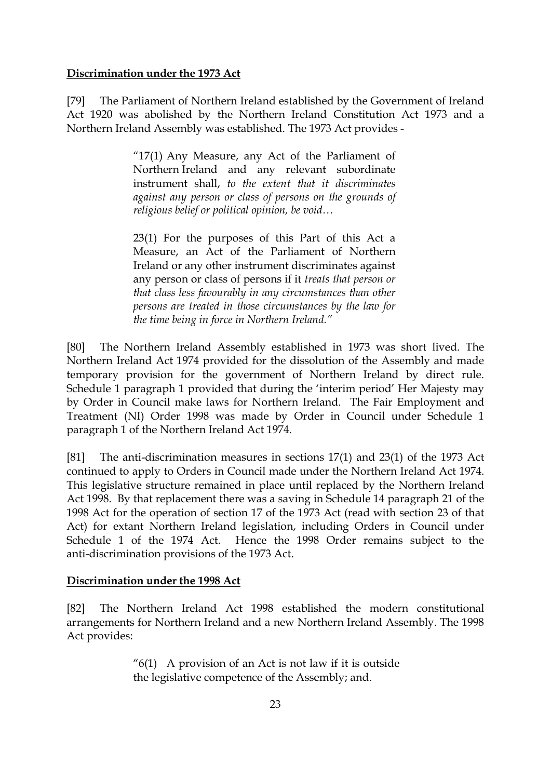## **Discrimination under the 1973 Act**

[79] The Parliament of Northern Ireland established by the Government of Ireland Act 1920 was abolished by the Northern Ireland Constitution Act 1973 and a Northern Ireland Assembly was established. The 1973 Act provides -

> "17(1) Any Measure, any Act of the Parliament of Northern Ireland and any relevant subordinate instrument shall, *to the extent that it discriminates against any person or class of persons on the grounds of religious belief or political opinion, be void…*

> 23(1) For the purposes of this Part of this Act a Measure, an Act of the Parliament of Northern Ireland or any other instrument discriminates against any person or class of persons if it *treats that person or that class less favourably in any circumstances than other persons are treated in those circumstances by the law for the time being in force in Northern Ireland."*

[80] The Northern Ireland Assembly established in 1973 was short lived. The Northern Ireland Act 1974 provided for the dissolution of the Assembly and made temporary provision for the government of Northern Ireland by direct rule. Schedule 1 paragraph 1 provided that during the 'interim period' Her Majesty may by Order in Council make laws for Northern Ireland. The Fair Employment and Treatment (NI) Order 1998 was made by Order in Council under Schedule 1 paragraph 1 of the Northern Ireland Act 1974.

[81] The anti-discrimination measures in sections 17(1) and 23(1) of the 1973 Act continued to apply to Orders in Council made under the Northern Ireland Act 1974. This legislative structure remained in place until replaced by the Northern Ireland Act 1998. By that replacement there was a saving in Schedule 14 paragraph 21 of the 1998 Act for the operation of section 17 of the 1973 Act (read with section 23 of that Act) for extant Northern Ireland legislation, including Orders in Council under Schedule 1 of the 1974 Act. Hence the 1998 Order remains subject to the anti-discrimination provisions of the 1973 Act.

# **Discrimination under the 1998 Act**

[82] The Northern Ireland Act 1998 established the modern constitutional arrangements for Northern Ireland and a new Northern Ireland Assembly. The 1998 Act provides:

> " $6(1)$  A provision of an Act is not law if it is outside the legislative competence of the Assembly; and.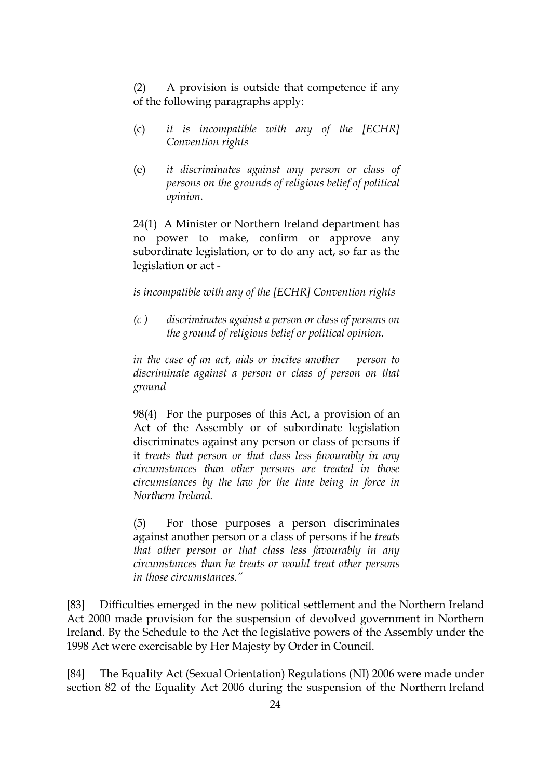(2) A provision is outside that competence if any of the following paragraphs apply:

- (c) *it is incompatible with any of the [ECHR] Convention rights*
- (e) *it discriminates against any person or class of persons on the grounds of religious belief of political opinion.*

24(1) A Minister or Northern Ireland department has no power to make, confirm or approve any subordinate legislation, or to do any act, so far as the legislation or act -

*is incompatible with any of the [ECHR] Convention rights*

*(c ) discriminates against a person or class of persons on the ground of religious belief or political opinion.* 

*in the case of an act, aids or incites another person to discriminate against a person or class of person on that ground* 

98(4) For the purposes of this Act, a provision of an Act of the Assembly or of subordinate legislation discriminates against any person or class of persons if it *treats that person or that class less favourably in any circumstances than other persons are treated in those circumstances by the law for the time being in force in Northern Ireland.*

(5) For those purposes a person discriminates against another person or a class of persons if he *treats that other person or that class less favourably in any circumstances than he treats or would treat other persons in those circumstances."*

[83] Difficulties emerged in the new political settlement and the Northern Ireland Act 2000 made provision for the suspension of devolved government in Northern Ireland. By the Schedule to the Act the legislative powers of the Assembly under the 1998 Act were exercisable by Her Majesty by Order in Council.

[84] The Equality Act (Sexual Orientation) Regulations (NI) 2006 were made under section 82 of the Equality Act 2006 during the suspension of the Northern Ireland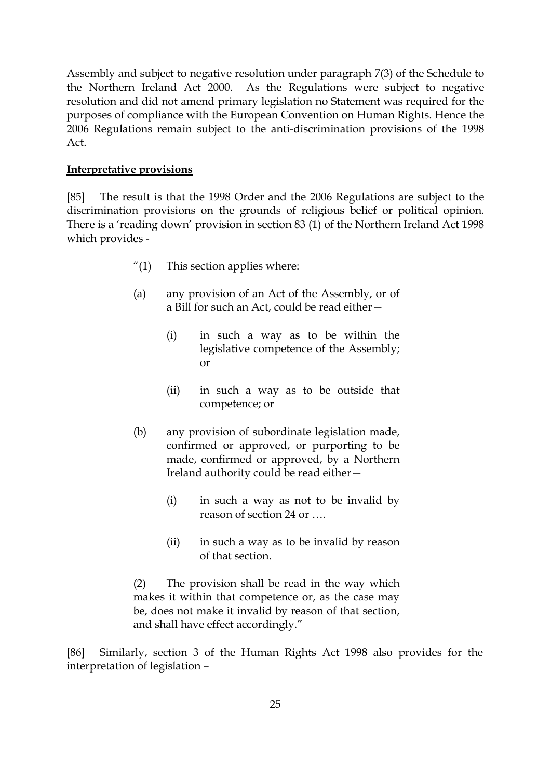Assembly and subject to negative resolution under paragraph 7(3) of the Schedule to the Northern Ireland Act 2000. As the Regulations were subject to negative resolution and did not amend primary legislation no Statement was required for the purposes of compliance with the European Convention on Human Rights. Hence the 2006 Regulations remain subject to the anti-discrimination provisions of the 1998 Act.

#### **Interpretative provisions**

[85] The result is that the 1998 Order and the 2006 Regulations are subject to the discrimination provisions on the grounds of religious belief or political opinion. There is a 'reading down' provision in section 83 (1) of the Northern Ireland Act 1998 which provides -

- " $(1)$  This section applies where:
- (a) any provision of an Act of the Assembly, or of a Bill for such an Act, could be read either—
	- (i) in such a way as to be within the legislative competence of the Assembly; or
	- (ii) in such a way as to be outside that competence; or
- (b) any provision of subordinate legislation made, confirmed or approved, or purporting to be made, confirmed or approved, by a Northern Ireland authority could be read either—
	- (i) in such a way as not to be invalid by reason of section 24 or ….
	- (ii) in such a way as to be invalid by reason of that section.

(2) The provision shall be read in the way which makes it within that competence or, as the case may be, does not make it invalid by reason of that section, and shall have effect accordingly."

[86] Similarly, section 3 of the Human Rights Act 1998 also provides for the interpretation of legislation –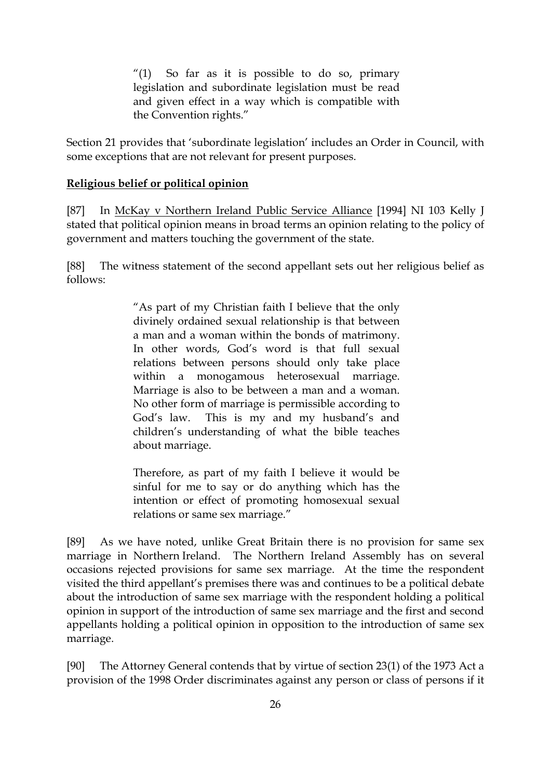$''(1)$  So far as it is possible to do so, primary legislation and subordinate legislation must be read and given effect in a way which is compatible with the Convention rights."

Section 21 provides that 'subordinate legislation' includes an Order in Council, with some exceptions that are not relevant for present purposes.

## **Religious belief or political opinion**

[87] In McKay v Northern Ireland Public Service Alliance [1994] NI 103 Kelly J stated that political opinion means in broad terms an opinion relating to the policy of government and matters touching the government of the state.

[88] The witness statement of the second appellant sets out her religious belief as follows:

> "As part of my Christian faith I believe that the only divinely ordained sexual relationship is that between a man and a woman within the bonds of matrimony. In other words, God's word is that full sexual relations between persons should only take place within a monogamous heterosexual marriage. Marriage is also to be between a man and a woman. No other form of marriage is permissible according to God's law. This is my and my husband's and children's understanding of what the bible teaches about marriage.

> Therefore, as part of my faith I believe it would be sinful for me to say or do anything which has the intention or effect of promoting homosexual sexual relations or same sex marriage."

[89] As we have noted, unlike Great Britain there is no provision for same sex marriage in Northern Ireland. The Northern Ireland Assembly has on several occasions rejected provisions for same sex marriage. At the time the respondent visited the third appellant's premises there was and continues to be a political debate about the introduction of same sex marriage with the respondent holding a political opinion in support of the introduction of same sex marriage and the first and second appellants holding a political opinion in opposition to the introduction of same sex marriage.

[90] The Attorney General contends that by virtue of section 23(1) of the 1973 Act a provision of the 1998 Order discriminates against any person or class of persons if it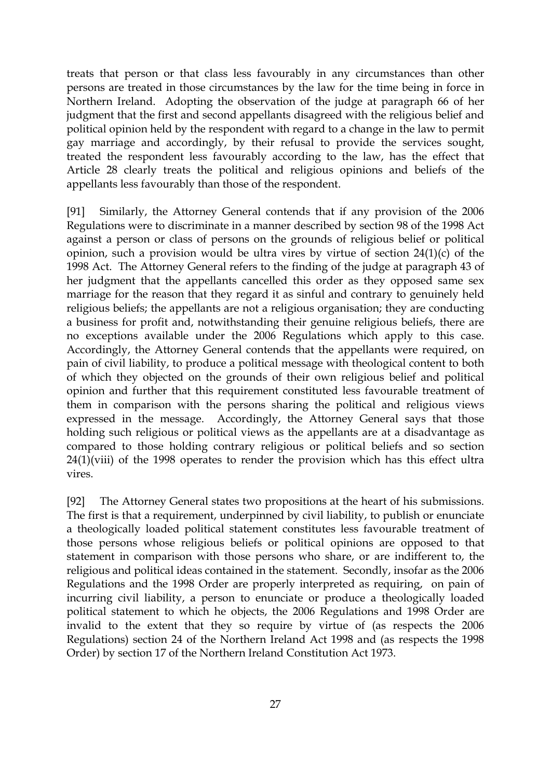treats that person or that class less favourably in any circumstances than other persons are treated in those circumstances by the law for the time being in force in Northern Ireland. Adopting the observation of the judge at paragraph 66 of her judgment that the first and second appellants disagreed with the religious belief and political opinion held by the respondent with regard to a change in the law to permit gay marriage and accordingly, by their refusal to provide the services sought, treated the respondent less favourably according to the law, has the effect that Article 28 clearly treats the political and religious opinions and beliefs of the appellants less favourably than those of the respondent.

[91] Similarly, the Attorney General contends that if any provision of the 2006 Regulations were to discriminate in a manner described by section 98 of the 1998 Act against a person or class of persons on the grounds of religious belief or political opinion, such a provision would be ultra vires by virtue of section 24(1)(c) of the 1998 Act. The Attorney General refers to the finding of the judge at paragraph 43 of her judgment that the appellants cancelled this order as they opposed same sex marriage for the reason that they regard it as sinful and contrary to genuinely held religious beliefs; the appellants are not a religious organisation; they are conducting a business for profit and, notwithstanding their genuine religious beliefs, there are no exceptions available under the 2006 Regulations which apply to this case. Accordingly, the Attorney General contends that the appellants were required, on pain of civil liability, to produce a political message with theological content to both of which they objected on the grounds of their own religious belief and political opinion and further that this requirement constituted less favourable treatment of them in comparison with the persons sharing the political and religious views expressed in the message. Accordingly, the Attorney General says that those holding such religious or political views as the appellants are at a disadvantage as compared to those holding contrary religious or political beliefs and so section 24(1)(viii) of the 1998 operates to render the provision which has this effect ultra vires.

[92] The Attorney General states two propositions at the heart of his submissions. The first is that a requirement, underpinned by civil liability, to publish or enunciate a theologically loaded political statement constitutes less favourable treatment of those persons whose religious beliefs or political opinions are opposed to that statement in comparison with those persons who share, or are indifferent to, the religious and political ideas contained in the statement. Secondly, insofar as the 2006 Regulations and the 1998 Order are properly interpreted as requiring, on pain of incurring civil liability, a person to enunciate or produce a theologically loaded political statement to which he objects, the 2006 Regulations and 1998 Order are invalid to the extent that they so require by virtue of (as respects the 2006 Regulations) section 24 of the Northern Ireland Act 1998 and (as respects the 1998 Order) by section 17 of the Northern Ireland Constitution Act 1973.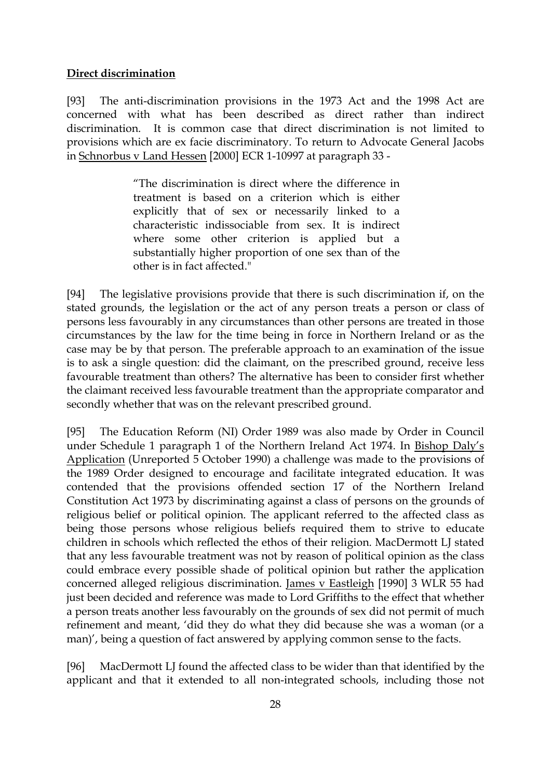## **Direct discrimination**

[93] The anti-discrimination provisions in the 1973 Act and the 1998 Act are concerned with what has been described as direct rather than indirect discrimination. It is common case that direct discrimination is not limited to provisions which are ex facie discriminatory. To return to Advocate General Jacobs in Schnorbus v Land Hessen [2000] ECR 1-10997 at paragraph 33 -

> "The discrimination is direct where the difference in treatment is based on a criterion which is either explicitly that of sex or necessarily linked to a characteristic indissociable from sex. It is indirect where some other criterion is applied but a substantially higher proportion of one sex than of the other is in fact affected."

[94] The legislative provisions provide that there is such discrimination if, on the stated grounds, the legislation or the act of any person treats a person or class of persons less favourably in any circumstances than other persons are treated in those circumstances by the law for the time being in force in Northern Ireland or as the case may be by that person. The preferable approach to an examination of the issue is to ask a single question: did the claimant, on the prescribed ground, receive less favourable treatment than others? The alternative has been to consider first whether the claimant received less favourable treatment than the appropriate comparator and secondly whether that was on the relevant prescribed ground.

[95] The Education Reform (NI) Order 1989 was also made by Order in Council under Schedule 1 paragraph 1 of the Northern Ireland Act 1974. In Bishop Daly's Application (Unreported 5 October 1990) a challenge was made to the provisions of the 1989 Order designed to encourage and facilitate integrated education. It was contended that the provisions offended section 17 of the Northern Ireland Constitution Act 1973 by discriminating against a class of persons on the grounds of religious belief or political opinion. The applicant referred to the affected class as being those persons whose religious beliefs required them to strive to educate children in schools which reflected the ethos of their religion. MacDermott LJ stated that any less favourable treatment was not by reason of political opinion as the class could embrace every possible shade of political opinion but rather the application concerned alleged religious discrimination. James v Eastleigh [1990] 3 WLR 55 had just been decided and reference was made to Lord Griffiths to the effect that whether a person treats another less favourably on the grounds of sex did not permit of much refinement and meant, 'did they do what they did because she was a woman (or a man)', being a question of fact answered by applying common sense to the facts.

[96] MacDermott LJ found the affected class to be wider than that identified by the applicant and that it extended to all non-integrated schools, including those not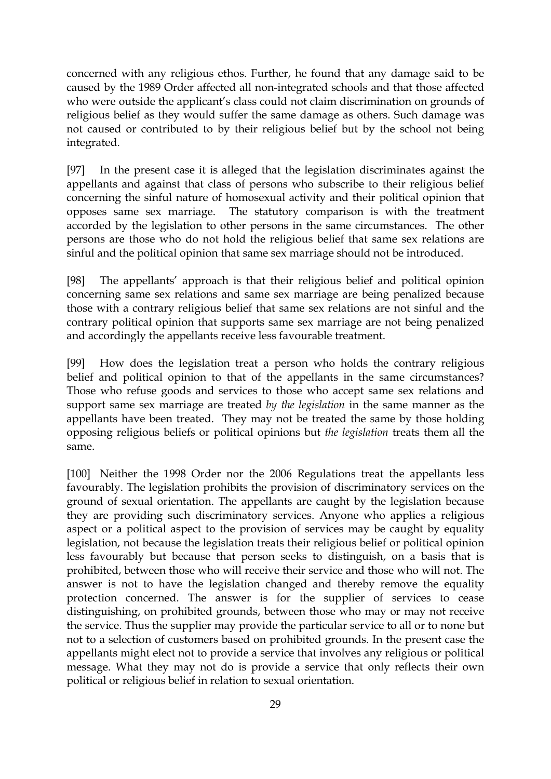concerned with any religious ethos. Further, he found that any damage said to be caused by the 1989 Order affected all non-integrated schools and that those affected who were outside the applicant's class could not claim discrimination on grounds of religious belief as they would suffer the same damage as others. Such damage was not caused or contributed to by their religious belief but by the school not being integrated.

[97] In the present case it is alleged that the legislation discriminates against the appellants and against that class of persons who subscribe to their religious belief concerning the sinful nature of homosexual activity and their political opinion that opposes same sex marriage. The statutory comparison is with the treatment accorded by the legislation to other persons in the same circumstances. The other persons are those who do not hold the religious belief that same sex relations are sinful and the political opinion that same sex marriage should not be introduced.

[98] The appellants' approach is that their religious belief and political opinion concerning same sex relations and same sex marriage are being penalized because those with a contrary religious belief that same sex relations are not sinful and the contrary political opinion that supports same sex marriage are not being penalized and accordingly the appellants receive less favourable treatment.

[99] How does the legislation treat a person who holds the contrary religious belief and political opinion to that of the appellants in the same circumstances? Those who refuse goods and services to those who accept same sex relations and support same sex marriage are treated *by the legislation* in the same manner as the appellants have been treated. They may not be treated the same by those holding opposing religious beliefs or political opinions but *the legislation* treats them all the same.

[100] Neither the 1998 Order nor the 2006 Regulations treat the appellants less favourably. The legislation prohibits the provision of discriminatory services on the ground of sexual orientation. The appellants are caught by the legislation because they are providing such discriminatory services. Anyone who applies a religious aspect or a political aspect to the provision of services may be caught by equality legislation, not because the legislation treats their religious belief or political opinion less favourably but because that person seeks to distinguish, on a basis that is prohibited, between those who will receive their service and those who will not. The answer is not to have the legislation changed and thereby remove the equality protection concerned. The answer is for the supplier of services to cease distinguishing, on prohibited grounds, between those who may or may not receive the service. Thus the supplier may provide the particular service to all or to none but not to a selection of customers based on prohibited grounds. In the present case the appellants might elect not to provide a service that involves any religious or political message. What they may not do is provide a service that only reflects their own political or religious belief in relation to sexual orientation.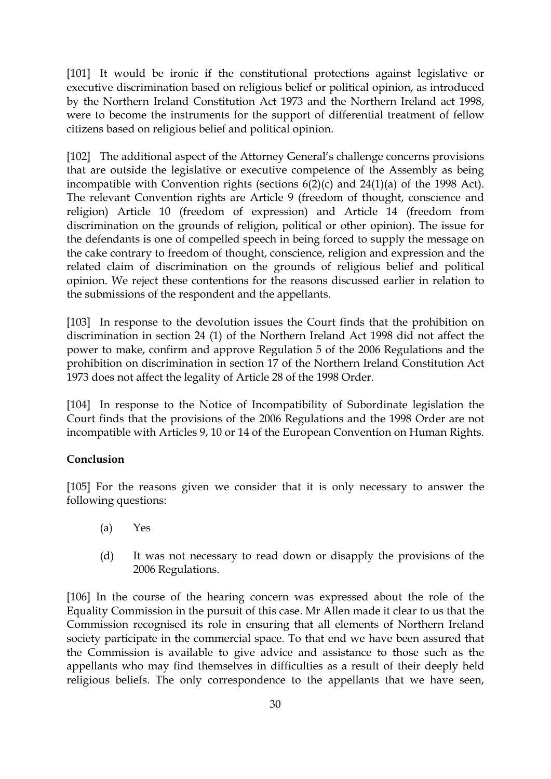[101] It would be ironic if the constitutional protections against legislative or executive discrimination based on religious belief or political opinion, as introduced by the Northern Ireland Constitution Act 1973 and the Northern Ireland act 1998, were to become the instruments for the support of differential treatment of fellow citizens based on religious belief and political opinion.

[102] The additional aspect of the Attorney General's challenge concerns provisions that are outside the legislative or executive competence of the Assembly as being incompatible with Convention rights (sections 6(2)(c) and 24(1)(a) of the 1998 Act). The relevant Convention rights are Article 9 (freedom of thought, conscience and religion) Article 10 (freedom of expression) and Article 14 (freedom from discrimination on the grounds of religion, political or other opinion). The issue for the defendants is one of compelled speech in being forced to supply the message on the cake contrary to freedom of thought, conscience, religion and expression and the related claim of discrimination on the grounds of religious belief and political opinion. We reject these contentions for the reasons discussed earlier in relation to the submissions of the respondent and the appellants.

[103] In response to the devolution issues the Court finds that the prohibition on discrimination in section 24 (1) of the Northern Ireland Act 1998 did not affect the power to make, confirm and approve Regulation 5 of the 2006 Regulations and the prohibition on discrimination in section 17 of the Northern Ireland Constitution Act 1973 does not affect the legality of Article 28 of the 1998 Order.

[104] In response to the Notice of Incompatibility of Subordinate legislation the Court finds that the provisions of the 2006 Regulations and the 1998 Order are not incompatible with Articles 9, 10 or 14 of the European Convention on Human Rights.

# **Conclusion**

[105] For the reasons given we consider that it is only necessary to answer the following questions:

- (a) Yes
- (d) It was not necessary to read down or disapply the provisions of the 2006 Regulations.

[106] In the course of the hearing concern was expressed about the role of the Equality Commission in the pursuit of this case. Mr Allen made it clear to us that the Commission recognised its role in ensuring that all elements of Northern Ireland society participate in the commercial space. To that end we have been assured that the Commission is available to give advice and assistance to those such as the appellants who may find themselves in difficulties as a result of their deeply held religious beliefs. The only correspondence to the appellants that we have seen,